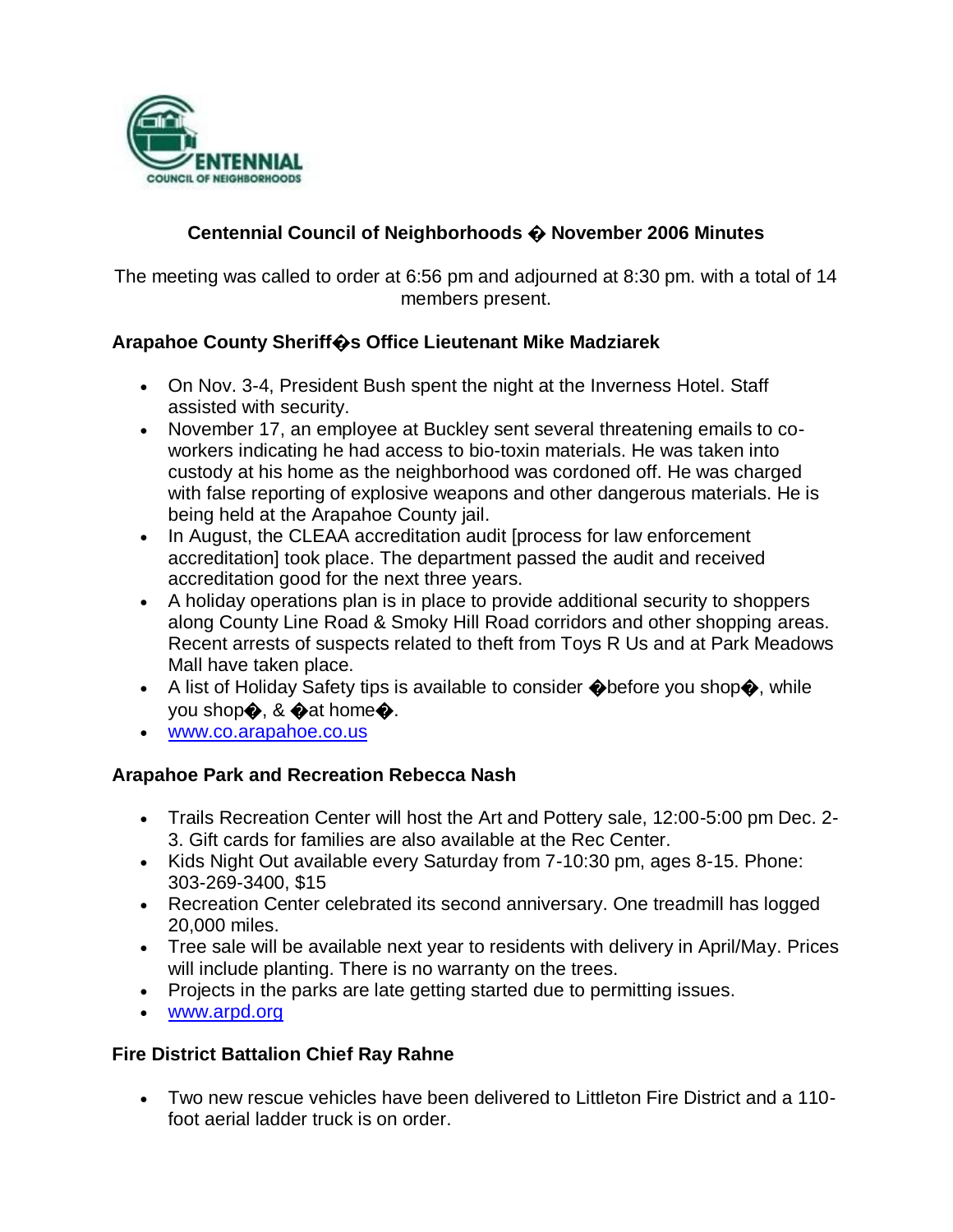

## **Centennial Council of Neighborhoods � November 2006 Minutes**

The meeting was called to order at 6:56 pm and adjourned at 8:30 pm. with a total of 14 members present.

### **Arapahoe County Sheriff�s Office Lieutenant Mike Madziarek**

- On Nov. 3-4, President Bush spent the night at the Inverness Hotel. Staff assisted with security.
- November 17, an employee at Buckley sent several threatening emails to coworkers indicating he had access to bio-toxin materials. He was taken into custody at his home as the neighborhood was cordoned off. He was charged with false reporting of explosive weapons and other dangerous materials. He is being held at the Arapahoe County jail.
- In August, the CLEAA accreditation audit [process for law enforcement accreditation] took place. The department passed the audit and received accreditation good for the next three years.
- A holiday operations plan is in place to provide additional security to shoppers along County Line Road & Smoky Hill Road corridors and other shopping areas. Recent arrests of suspects related to theft from Toys R Us and at Park Meadows Mall have taken place.
- A list of Holiday Safety tips is available to consider  $\bigcirc$  before you shop $\bigcirc$ , while you shop�, & �at home�.
- [www.co.arapahoe.co.us](file:///C:/WINDOWS/TEMP/FrontPageTempDir/www.co.arapahoe.co.us)

### **Arapahoe Park and Recreation Rebecca Nash**

- Trails Recreation Center will host the Art and Pottery sale, 12:00-5:00 pm Dec. 2- 3. Gift cards for families are also available at the Rec Center.
- Kids Night Out available every Saturday from 7-10:30 pm, ages 8-15. Phone: 303-269-3400, \$15
- Recreation Center celebrated its second anniversary. One treadmill has logged 20,000 miles.
- Tree sale will be available next year to residents with delivery in April/May. Prices will include planting. There is no warranty on the trees.
- Projects in the parks are late getting started due to permitting issues.
- [www.arpd.org](file:///C:/WINDOWS/TEMP/FrontPageTempDir/www.arpd.org)

#### **Fire District Battalion Chief Ray Rahne**

 Two new rescue vehicles have been delivered to Littleton Fire District and a 110 foot aerial ladder truck is on order.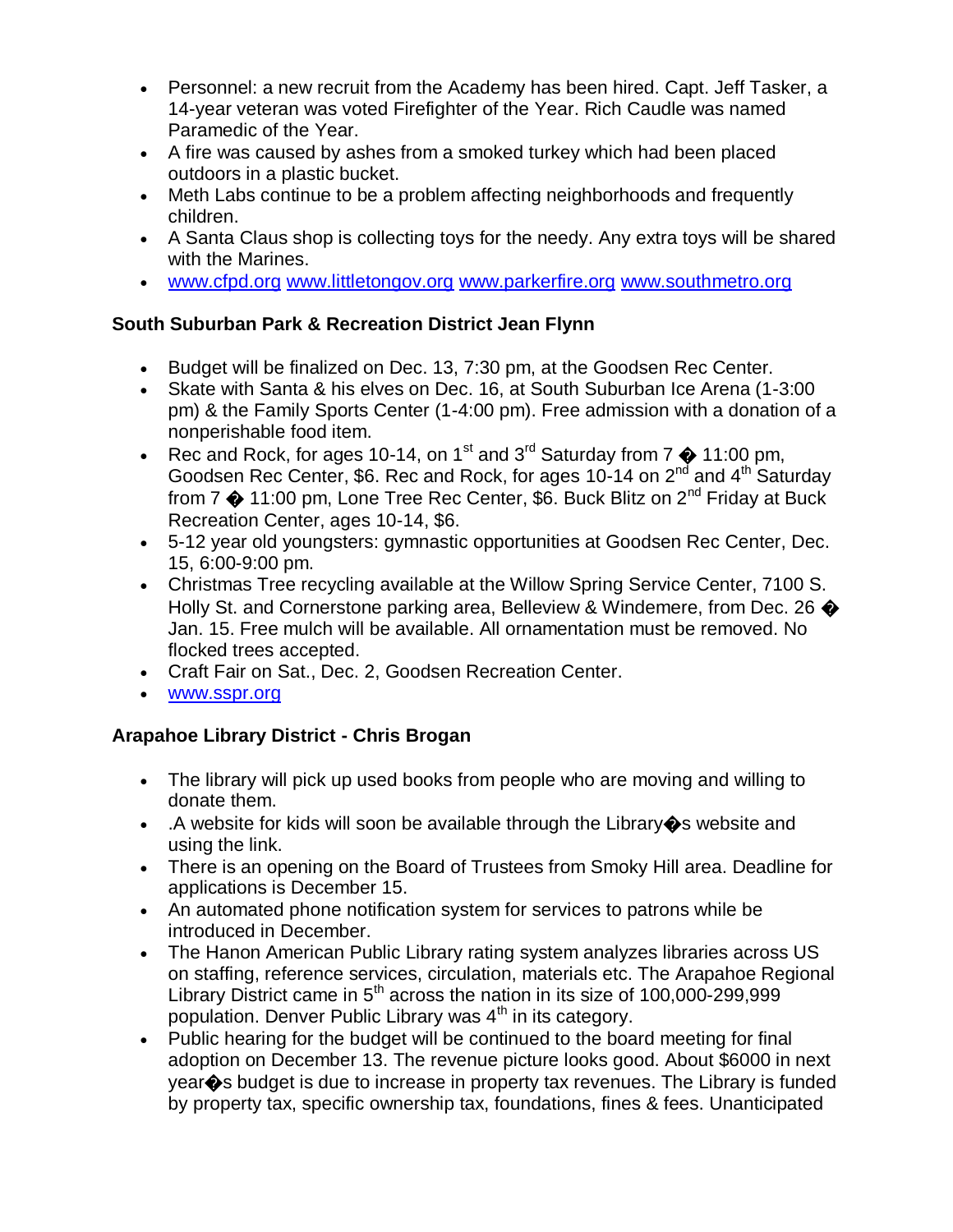- Personnel: a new recruit from the Academy has been hired. Capt. Jeff Tasker, a 14-year veteran was voted Firefighter of the Year. Rich Caudle was named Paramedic of the Year.
- A fire was caused by ashes from a smoked turkey which had been placed outdoors in a plastic bucket.
- Meth Labs continue to be a problem affecting neighborhoods and frequently children.
- A Santa Claus shop is collecting toys for the needy. Any extra toys will be shared with the Marines.
- [www.cfpd.org](http://www.cfpd.org/) [www.littletongov.org](http://www.littletongov.org/) [www.parkerfire.org](http://www.parkerfire.org/) [www.southmetro.org](http://www.southmetro.org/)

# **South Suburban Park & Recreation District Jean Flynn**

- Budget will be finalized on Dec. 13, 7:30 pm, at the Goodsen Rec Center.
- Skate with Santa & his elves on Dec. 16, at South Suburban Ice Arena (1-3:00 pm) & the Family Sports Center (1-4:00 pm). Free admission with a donation of a nonperishable food item.
- Rec and Rock, for ages 10-14, on 1<sup>st</sup> and 3<sup>rd</sup> Saturday from  $7 \oplus 11:00$  pm, Goodsen Rec Center, \$6. Rec and Rock, for ages 10-14 on 2<sup>nd</sup> and 4<sup>th</sup> Saturday from 7  $\spadesuit$  11:00 pm, Lone Tree Rec Center, \$6. Buck Blitz on 2<sup>nd</sup> Friday at Buck Recreation Center, ages 10-14, \$6.
- 5-12 year old youngsters: gymnastic opportunities at Goodsen Rec Center, Dec. 15, 6:00-9:00 pm.
- Christmas Tree recycling available at the Willow Spring Service Center, 7100 S. Holly St. and Cornerstone parking area, Belleview & Windemere, from Dec. 26  $\clubsuit$ Jan. 15. Free mulch will be available. All ornamentation must be removed. No flocked trees accepted.
- Craft Fair on Sat., Dec. 2, Goodsen Recreation Center.
- [www.sspr.org](file:///C:/WINDOWS/TEMP/FrontPageTempDir/www.sspr.org)

# **Arapahoe Library District - Chris Brogan**

- The library will pick up used books from people who are moving and willing to donate them.
- A website for kids will soon be available through the Library�s website and using the link.
- There is an opening on the Board of Trustees from Smoky Hill area. Deadline for applications is December 15.
- An automated phone notification system for services to patrons while be introduced in December.
- The Hanon American Public Library rating system analyzes libraries across US on staffing, reference services, circulation, materials etc. The Arapahoe Regional Library District came in  $5<sup>th</sup>$  across the nation in its size of 100,000-299,999 population. Denver Public Library was  $4<sup>th</sup>$  in its category.
- Public hearing for the budget will be continued to the board meeting for final adoption on December 13. The revenue picture looks good. About \$6000 in next year�s budget is due to increase in property tax revenues. The Library is funded by property tax, specific ownership tax, foundations, fines & fees. Unanticipated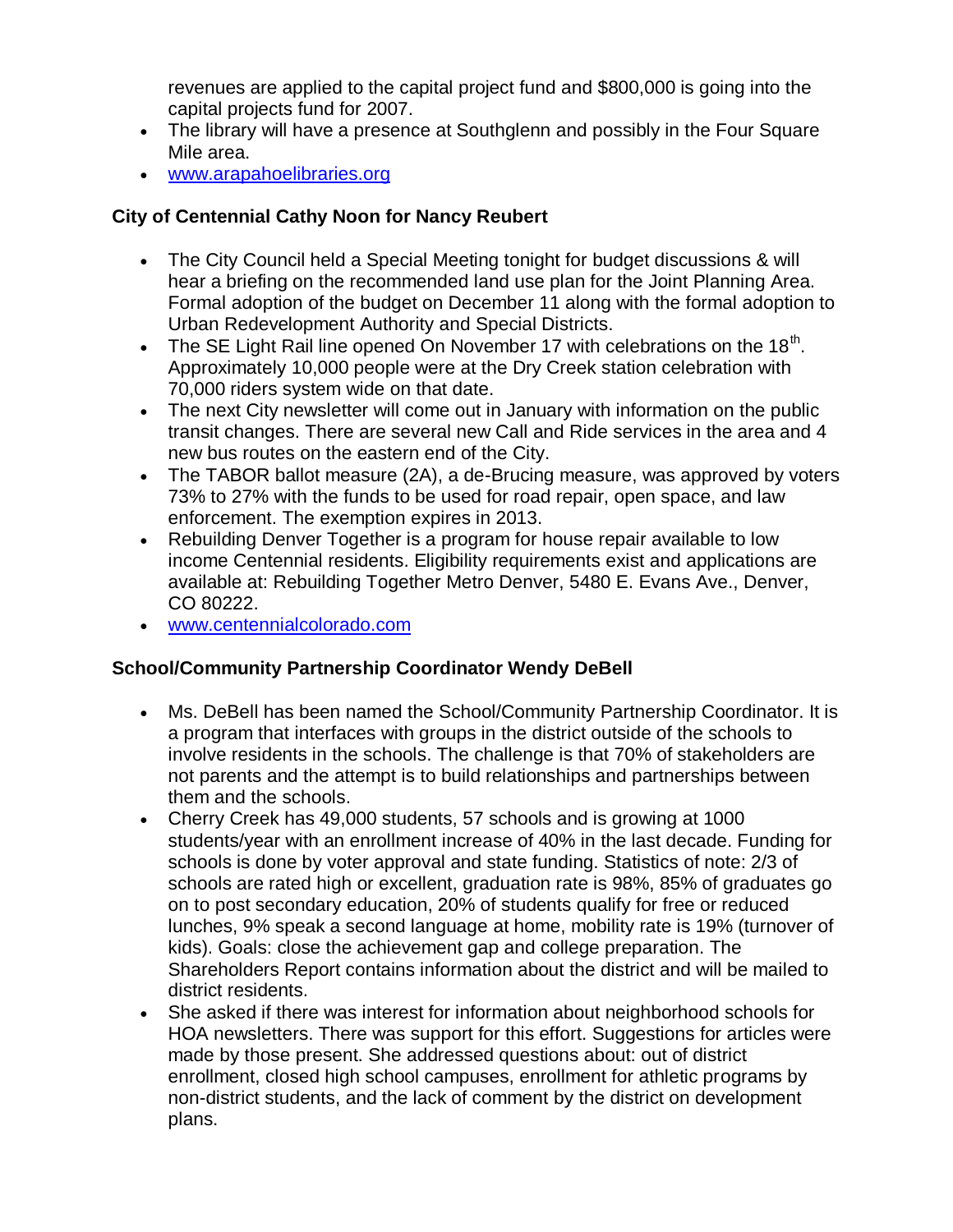revenues are applied to the capital project fund and \$800,000 is going into the capital projects fund for 2007.

- The library will have a presence at Southglenn and possibly in the Four Square Mile area.
- [www.arapahoelibraries.org](file:///C:/WINDOWS/TEMP/FrontPageTempDir/www.arapahoelibraries.org)

## **City of Centennial Cathy Noon for Nancy Reubert**

- The City Council held a Special Meeting tonight for budget discussions & will hear a briefing on the recommended land use plan for the Joint Planning Area. Formal adoption of the budget on December 11 along with the formal adoption to Urban Redevelopment Authority and Special Districts.
- The SE Light Rail line opened On November 17 with celebrations on the 18<sup>th</sup>. Approximately 10,000 people were at the Dry Creek station celebration with 70,000 riders system wide on that date.
- The next City newsletter will come out in January with information on the public transit changes. There are several new Call and Ride services in the area and 4 new bus routes on the eastern end of the City.
- The TABOR ballot measure (2A), a de-Brucing measure, was approved by voters 73% to 27% with the funds to be used for road repair, open space, and law enforcement. The exemption expires in 2013.
- Rebuilding Denver Together is a program for house repair available to low income Centennial residents. Eligibility requirements exist and applications are available at: Rebuilding Together Metro Denver, 5480 E. Evans Ave., Denver, CO 80222.
- [www.centennialcolorado.com](http://www.centennialcolorado.com/)

# **School/Community Partnership Coordinator Wendy DeBell**

- Ms. DeBell has been named the School/Community Partnership Coordinator. It is a program that interfaces with groups in the district outside of the schools to involve residents in the schools. The challenge is that 70% of stakeholders are not parents and the attempt is to build relationships and partnerships between them and the schools.
- Cherry Creek has 49,000 students, 57 schools and is growing at 1000 students/year with an enrollment increase of 40% in the last decade. Funding for schools is done by voter approval and state funding. Statistics of note: 2/3 of schools are rated high or excellent, graduation rate is 98%, 85% of graduates go on to post secondary education, 20% of students qualify for free or reduced lunches, 9% speak a second language at home, mobility rate is 19% (turnover of kids). Goals: close the achievement gap and college preparation. The Shareholders Report contains information about the district and will be mailed to district residents.
- She asked if there was interest for information about neighborhood schools for HOA newsletters. There was support for this effort. Suggestions for articles were made by those present. She addressed questions about: out of district enrollment, closed high school campuses, enrollment for athletic programs by non-district students, and the lack of comment by the district on development plans.